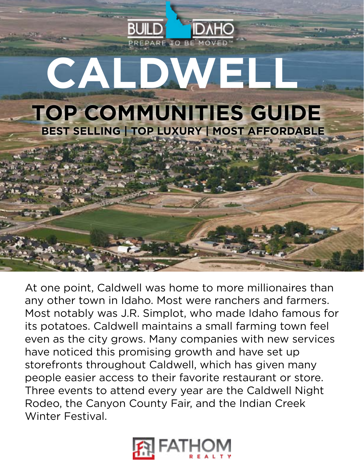

At one point, Caldwell was home to more millionaires than any other town in Idaho. Most were ranchers and farmers. Most notably was J.R. Simplot, who made Idaho famous for its potatoes. Caldwell maintains a small farming town feel even as the city grows. Many companies with new services have noticed this promising growth and have set up storefronts throughout Caldwell, which has given many people easier access to their favorite restaurant or store. Three events to attend every year are the Caldwell Night Rodeo, the Canyon County Fair, and the Indian Creek Winter Festival.